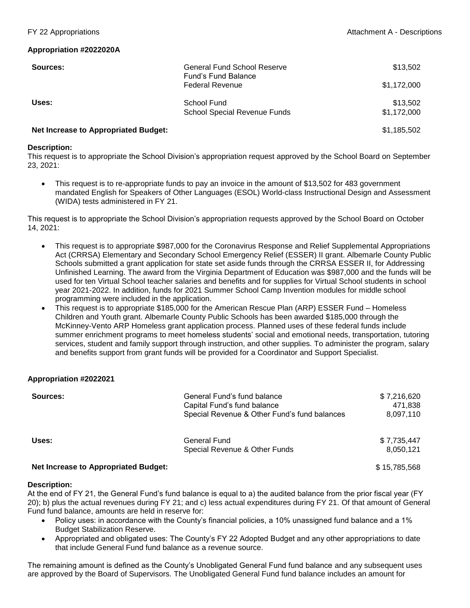## **Appropriation #2022020A**

| Sources:                                    | General Fund School Reserve<br><b>Fund's Fund Balance</b> | \$13,502                |
|---------------------------------------------|-----------------------------------------------------------|-------------------------|
|                                             | <b>Federal Revenue</b>                                    | \$1,172,000             |
| Uses:                                       | School Fund<br><b>School Special Revenue Funds</b>        | \$13,502<br>\$1,172,000 |
| <b>Net Increase to Appropriated Budget:</b> |                                                           | \$1,185,502             |

## **Description:**

This request is to appropriate the School Division's appropriation request approved by the School Board on September 23, 2021:

 This request is to re-appropriate funds to pay an invoice in the amount of \$13,502 for 483 government mandated English for Speakers of Other Languages (ESOL) World-class Instructional Design and Assessment (WIDA) tests administered in FY 21.

This request is to appropriate the School Division's appropriation requests approved by the School Board on October 14, 2021:

- This request is to appropriate \$987,000 for the Coronavirus Response and Relief Supplemental Appropriations Act (CRRSA) Elementary and Secondary School Emergency Relief (ESSER) II grant. Albemarle County Public Schools submitted a grant application for state set aside funds through the CRRSA ESSER II, for Addressing Unfinished Learning. The award from the Virginia Department of Education was \$987,000 and the funds will be used for ten Virtual School teacher salaries and benefits and for supplies for Virtual School students in school year 2021-2022. In addition, funds for 2021 Summer School Camp Invention modules for middle school programming were included in the application.
- This request is to appropriate \$185,000 for the American Rescue Plan (ARP) ESSER Fund Homeless Children and Youth grant. Albemarle County Public Schools has been awarded \$185,000 through the McKinney-Vento ARP Homeless grant application process. Planned uses of these federal funds include summer enrichment programs to meet homeless students' social and emotional needs, transportation, tutoring services, student and family support through instruction, and other supplies. To administer the program, salary and benefits support from grant funds will be provided for a Coordinator and Support Specialist.

## **Appropriation #2022021**

| Sources:                                    | General Fund's fund balance<br>Capital Fund's fund balance<br>Special Revenue & Other Fund's fund balances | \$7,216,620<br>471.838<br>8,097,110 |
|---------------------------------------------|------------------------------------------------------------------------------------------------------------|-------------------------------------|
| Uses:                                       | <b>General Fund</b><br>Special Revenue & Other Funds                                                       | \$7.735.447<br>8.050.121            |
| <b>Net Increase to Appropriated Budget:</b> |                                                                                                            | \$15,785,568                        |

## **Description:**

At the end of FY 21, the General Fund's fund balance is equal to a) the audited balance from the prior fiscal year (FY 20); b) plus the actual revenues during FY 21; and c) less actual expenditures during FY 21. Of that amount of General Fund fund balance, amounts are held in reserve for:

- Policy uses: in accordance with the County's financial policies, a 10% unassigned fund balance and a 1% Budget Stabilization Reserve.
- Appropriated and obligated uses: The County's FY 22 Adopted Budget and any other appropriations to date that include General Fund fund balance as a revenue source.

The remaining amount is defined as the County's Unobligated General Fund fund balance and any subsequent uses are approved by the Board of Supervisors. The Unobligated General Fund fund balance includes an amount for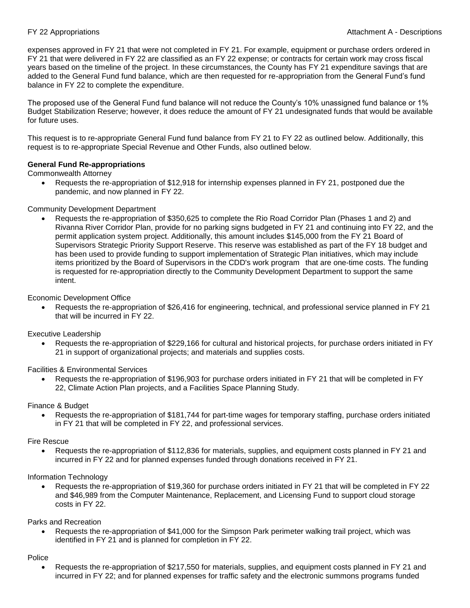expenses approved in FY 21 that were not completed in FY 21. For example, equipment or purchase orders ordered in FY 21 that were delivered in FY 22 are classified as an FY 22 expense; or contracts for certain work may cross fiscal years based on the timeline of the project. In these circumstances, the County has FY 21 expenditure savings that are added to the General Fund fund balance, which are then requested for re-appropriation from the General Fund's fund balance in FY 22 to complete the expenditure.

The proposed use of the General Fund fund balance will not reduce the County's 10% unassigned fund balance or 1% Budget Stabilization Reserve; however, it does reduce the amount of FY 21 undesignated funds that would be available for future uses.

This request is to re-appropriate General Fund fund balance from FY 21 to FY 22 as outlined below. Additionally, this request is to re-appropriate Special Revenue and Other Funds, also outlined below.

## **General Fund Re-appropriations**

Commonwealth Attorney

 Requests the re-appropriation of \$12,918 for internship expenses planned in FY 21, postponed due the pandemic, and now planned in FY 22.

## Community Development Department

 Requests the re-appropriation of \$350,625 to complete the Rio Road Corridor Plan (Phases 1 and 2) and Rivanna River Corridor Plan, provide for no parking signs budgeted in FY 21 and continuing into FY 22, and the permit application system project. Additionally, this amount includes \$145,000 from the FY 21 Board of Supervisors Strategic Priority Support Reserve. This reserve was established as part of the FY 18 budget and has been used to provide funding to support implementation of Strategic Plan initiatives, which may include items prioritized by the Board of Supervisors in the CDD's work program that are one-time costs. The funding is requested for re-appropriation directly to the Community Development Department to support the same intent.

## Economic Development Office

 Requests the re-appropriation of \$26,416 for engineering, technical, and professional service planned in FY 21 that will be incurred in FY 22.

## Executive Leadership

 Requests the re-appropriation of \$229,166 for cultural and historical projects, for purchase orders initiated in FY 21 in support of organizational projects; and materials and supplies costs.

Facilities & Environmental Services

 Requests the re-appropriation of \$196,903 for purchase orders initiated in FY 21 that will be completed in FY 22, Climate Action Plan projects, and a Facilities Space Planning Study.

Finance & Budget

 Requests the re-appropriation of \$181,744 for part-time wages for temporary staffing, purchase orders initiated in FY 21 that will be completed in FY 22, and professional services.

## Fire Rescue

 Requests the re-appropriation of \$112,836 for materials, supplies, and equipment costs planned in FY 21 and incurred in FY 22 and for planned expenses funded through donations received in FY 21.

Information Technology

 Requests the re-appropriation of \$19,360 for purchase orders initiated in FY 21 that will be completed in FY 22 and \$46,989 from the Computer Maintenance, Replacement, and Licensing Fund to support cloud storage costs in FY 22.

Parks and Recreation

 Requests the re-appropriation of \$41,000 for the Simpson Park perimeter walking trail project, which was identified in FY 21 and is planned for completion in FY 22.

## Police

 Requests the re-appropriation of \$217,550 for materials, supplies, and equipment costs planned in FY 21 and incurred in FY 22; and for planned expenses for traffic safety and the electronic summons programs funded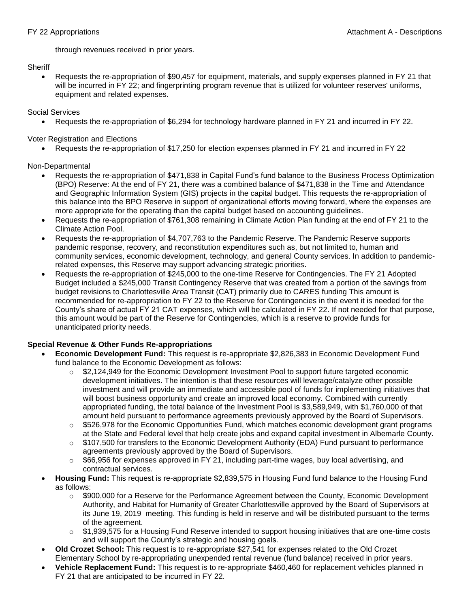through revenues received in prior years.

# **Sheriff**

 Requests the re-appropriation of \$90,457 for equipment, materials, and supply expenses planned in FY 21 that will be incurred in FY 22; and fingerprinting program revenue that is utilized for volunteer reserves' uniforms, equipment and related expenses.

Social Services

Requests the re-appropriation of \$6,294 for technology hardware planned in FY 21 and incurred in FY 22.

Voter Registration and Elections

Requests the re-appropriation of \$17,250 for election expenses planned in FY 21 and incurred in FY 22

# Non-Departmental

- Requests the re-appropriation of \$471,838 in Capital Fund's fund balance to the Business Process Optimization (BPO) Reserve: At the end of FY 21, there was a combined balance of \$471,838 in the Time and Attendance and Geographic Information System (GIS) projects in the capital budget. This requests the re-appropriation of this balance into the BPO Reserve in support of organizational efforts moving forward, where the expenses are more appropriate for the operating than the capital budget based on accounting guidelines.
- Requests the re-appropriation of \$761,308 remaining in Climate Action Plan funding at the end of FY 21 to the Climate Action Pool.
- Requests the re-appropriation of \$4,707,763 to the Pandemic Reserve. The Pandemic Reserve supports pandemic response, recovery, and reconstitution expenditures such as, but not limited to, human and community services, economic development, technology, and general County services. In addition to pandemicrelated expenses, this Reserve may support advancing strategic priorities.
- Requests the re-appropriation of \$245,000 to the one-time Reserve for Contingencies. The FY 21 Adopted Budget included a \$245,000 Transit Contingency Reserve that was created from a portion of the savings from budget revisions to Charlottesville Area Transit (CAT) primarily due to CARES funding This amount is recommended for re-appropriation to FY 22 to the Reserve for Contingencies in the event it is needed for the County's share of actual FY 21 CAT expenses, which will be calculated in FY 22. If not needed for that purpose, this amount would be part of the Reserve for Contingencies, which is a reserve to provide funds for unanticipated priority needs.

# **Special Revenue & Other Funds Re-appropriations**

- **Economic Development Fund:** This request is re-appropriate \$2,826,383 in Economic Development Fund fund balance to the Economic Development as follows:
	- $\circ$  \$2,124,949 for the Economic Development Investment Pool to support future targeted economic development initiatives. The intention is that these resources will leverage/catalyze other possible investment and will provide an immediate and accessible pool of funds for implementing initiatives that will boost business opportunity and create an improved local economy. Combined with currently appropriated funding, the total balance of the Investment Pool is \$3,589,949, with \$1,760,000 of that amount held pursuant to performance agreements previously approved by the Board of Supervisors.
	- $\circ$  \$526,978 for the Economic Opportunities Fund, which matches economic development grant programs at the State and Federal level that help create jobs and expand capital investment in Albemarle County.
	- o \$107,500 for transfers to the Economic Development Authority (EDA) Fund pursuant to performance agreements previously approved by the Board of Supervisors.
	- $\circ$  \$66,956 for expenses approved in FY 21, including part-time wages, buy local advertising, and contractual services.
	- **Housing Fund:** This request is re-appropriate \$2,839,575 in Housing Fund fund balance to the Housing Fund as follows:
		- $\circ$  \$900,000 for a Reserve for the Performance Agreement between the County, Economic Development Authority, and Habitat for Humanity of Greater Charlottesville approved by the Board of Supervisors at its June 19, 2019 meeting. This funding is held in reserve and will be distributed pursuant to the terms of the agreement.
		- $\circ$  \$1,939,575 for a Housing Fund Reserve intended to support housing initiatives that are one-time costs and will support the County's strategic and housing goals.
- **Old Crozet School:** This request is to re-appropriate \$27,541 for expenses related to the Old Crozet Elementary School by re-appropriating unexpended rental revenue (fund balance) received in prior years.
- **Vehicle Replacement Fund:** This request is to re-appropriate \$460,460 for replacement vehicles planned in FY 21 that are anticipated to be incurred in FY 22.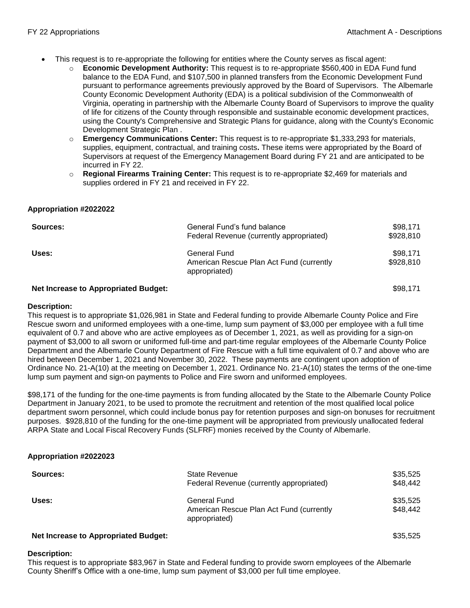- This request is to re-appropriate the following for entities where the County serves as fiscal agent:
	- o **Economic Development Authority:** This request is to re-appropriate \$560,400 in EDA Fund fund balance to the EDA Fund, and \$107,500 in planned transfers from the Economic Development Fund pursuant to performance agreements previously approved by the Board of Supervisors. The Albemarle County Economic Development Authority (EDA) is a political subdivision of the Commonwealth of Virginia, operating in partnership with the Albemarle County Board of Supervisors to improve the quality of life for citizens of the County through responsible and sustainable economic development practices, using the County's Comprehensive and Strategic Plans for guidance, along with the County's Economic Development Strategic Plan .
	- o **Emergency Communications Center:** This request is to re-appropriate \$1,333,293 for materials, supplies, equipment, contractual, and training costs**.** These items were appropriated by the Board of Supervisors at request of the Emergency Management Board during FY 21 and are anticipated to be incurred in FY 22.
	- o **Regional Firearms Training Center:** This request is to re-appropriate \$2,469 for materials and supplies ordered in FY 21 and received in FY 22.

## **Appropriation #2022022**

| Sources: | General Fund's fund balance<br>Federal Revenue (currently appropriated)   | \$98,171<br>\$928,810 |
|----------|---------------------------------------------------------------------------|-----------------------|
| Uses:    | General Fund<br>American Rescue Plan Act Fund (currently<br>appropriated) | \$98,171<br>\$928,810 |

## **Net Increase to Appropriated Budget:**  $$98,171$

### **Description:**

This request is to appropriate \$1,026,981 in State and Federal funding to provide Albemarle County Police and Fire Rescue sworn and uniformed employees with a one-time, lump sum payment of \$3,000 per employee with a full time equivalent of 0.7 and above who are active employees as of December 1, 2021, as well as providing for a sign-on payment of \$3,000 to all sworn or uniformed full-time and part-time regular employees of the Albemarle County Police Department and the Albemarle County Department of Fire Rescue with a full time equivalent of 0.7 and above who are hired between December 1, 2021 and November 30, 2022. These payments are contingent upon adoption of Ordinance No. 21-A(10) at the meeting on December 1, 2021. Ordinance No. 21-A(10) states the terms of the one-time lump sum payment and sign-on payments to Police and Fire sworn and uniformed employees.

\$98,171 of the funding for the one-time payments is from funding allocated by the State to the Albemarle County Police Department in January 2021, to be used to promote the recruitment and retention of the most qualified local police department sworn personnel, which could include bonus pay for retention purposes and sign-on bonuses for recruitment purposes. \$928,810 of the funding for the one-time payment will be appropriated from previously unallocated federal ARPA State and Local Fiscal Recovery Funds (SLFRF) monies received by the County of Albemarle.

## **Appropriation #2022023**

| Sources: | <b>State Revenue</b><br>Federal Revenue (currently appropriated)          | \$35,525<br>\$48,442 |
|----------|---------------------------------------------------------------------------|----------------------|
| Uses:    | General Fund<br>American Rescue Plan Act Fund (currently<br>appropriated) | \$35,525<br>\$48.442 |
|          |                                                                           |                      |

## **Net Increase to Appropriated Budget:**  $$35,525$

## **Description:**

This request is to appropriate \$83,967 in State and Federal funding to provide sworn employees of the Albemarle County Sheriff's Office with a one-time, lump sum payment of \$3,000 per full time employee.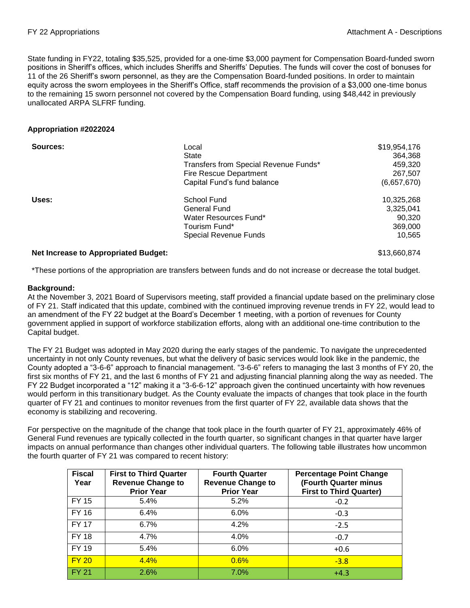State funding in FY22, totaling \$35,525, provided for a one-time \$3,000 payment for Compensation Board-funded sworn positions in Sheriff's offices, which includes Sheriffs and Sheriffs' Deputies. The funds will cover the cost of bonuses for 11 of the 26 Sheriff's sworn personnel, as they are the Compensation Board-funded positions. In order to maintain equity across the sworn employees in the Sheriff's Office, staff recommends the provision of a \$3,000 one-time bonus to the remaining 15 sworn personnel not covered by the Compensation Board funding, using \$48,442 in previously unallocated ARPA SLFRF funding.

## **Appropriation #2022024**

| Sources:                                    | Local<br>State<br>Transfers from Special Revenue Funds*<br><b>Fire Rescue Department</b><br>Capital Fund's fund balance | \$19,954,176<br>364.368<br>459,320<br>267,507<br>(6,657,670) |
|---------------------------------------------|-------------------------------------------------------------------------------------------------------------------------|--------------------------------------------------------------|
| Uses:                                       | School Fund<br>General Fund<br>Water Resources Fund*<br>Tourism Fund*<br><b>Special Revenue Funds</b>                   | 10,325,268<br>3,325,041<br>90,320<br>369,000<br>10,565       |
| <b>Net Increase to Appropriated Budget:</b> |                                                                                                                         | \$13,660,874                                                 |

\*These portions of the appropriation are transfers between funds and do not increase or decrease the total budget.

## **Background:**

At the November 3, 2021 Board of Supervisors meeting, staff provided a financial update based on the preliminary close of FY 21. Staff indicated that this update, combined with the continued improving revenue trends in FY 22, would lead to an amendment of the FY 22 budget at the Board's December 1 meeting, with a portion of revenues for County government applied in support of workforce stabilization efforts, along with an additional one-time contribution to the Capital budget.

The FY 21 Budget was adopted in May 2020 during the early stages of the pandemic. To navigate the unprecedented uncertainty in not only County revenues, but what the delivery of basic services would look like in the pandemic, the County adopted a "3-6-6" approach to financial management. "3-6-6" refers to managing the last 3 months of FY 20, the first six months of FY 21, and the last 6 months of FY 21 and adjusting financial planning along the way as needed. The FY 22 Budget incorporated a "12" making it a "3-6-6-12" approach given the continued uncertainty with how revenues would perform in this transitionary budget. As the County evaluate the impacts of changes that took place in the fourth quarter of FY 21 and continues to monitor revenues from the first quarter of FY 22, available data shows that the economy is stabilizing and recovering.

For perspective on the magnitude of the change that took place in the fourth quarter of FY 21, approximately 46% of General Fund revenues are typically collected in the fourth quarter, so significant changes in that quarter have larger impacts on annual performance than changes other individual quarters. The following table illustrates how uncommon the fourth quarter of FY 21 was compared to recent history:

| <b>Fiscal</b><br>Year | <b>First to Third Quarter</b><br><b>Revenue Change to</b><br><b>Prior Year</b> | <b>Fourth Quarter</b><br><b>Revenue Change to</b><br><b>Prior Year</b> | <b>Percentage Point Change</b><br>(Fourth Quarter minus<br><b>First to Third Quarter)</b> |
|-----------------------|--------------------------------------------------------------------------------|------------------------------------------------------------------------|-------------------------------------------------------------------------------------------|
| FY 15                 | 5.4%                                                                           | 5.2%                                                                   | $-0.2$                                                                                    |
| FY 16                 | 6.4%                                                                           | 6.0%                                                                   | $-0.3$                                                                                    |
| <b>FY 17</b>          | 6.7%                                                                           | 4.2%                                                                   | $-2.5$                                                                                    |
| <b>FY 18</b>          | 4.7%                                                                           | 4.0%                                                                   | $-0.7$                                                                                    |
| FY 19                 | 5.4%                                                                           | 6.0%                                                                   | $+0.6$                                                                                    |
| <b>FY 20</b>          | 4.4%                                                                           | 0.6%                                                                   | $-3.8$                                                                                    |
| <b>FY 21</b>          | 2.6%                                                                           | 7.0%                                                                   | $+4.3$                                                                                    |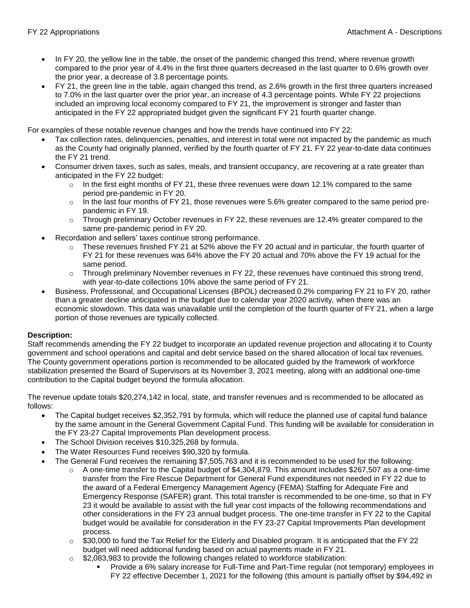- In FY 20, the yellow line in the table, the onset of the pandemic changed this trend, where revenue growth compared to the prior year of 4.4% in the first three quarters decreased in the last quarter to 0.6% growth over the prior year, a decrease of 3.8 percentage points.
- FY 21, the green line in the table, again changed this trend, as 2.6% growth in the first three quarters increased to 7.0% in the last quarter over the prior year, an increase of 4.3 percentage points. While FY 22 projections included an improving local economy compared to FY 21, the improvement is stronger and faster than anticipated in the FY 22 appropriated budget given the significant FY 21 fourth quarter change.

For examples of these notable revenue changes and how the trends have continued into FY 22:

- Tax collection rates, delinquencies, penalties, and interest in total were not impacted by the pandemic as much as the County had originally planned, verified by the fourth quarter of FY 21. FY 22 year-to-date data continues the FY 21 trend.
- Consumer driven taxes, such as sales, meals, and transient occupancy, are recovering at a rate greater than anticipated in the FY 22 budget:
	- $\circ$  In the first eight months of FY 21, these three revenues were down 12.1% compared to the same period pre-pandemic in FY 20.
	- $\circ$  In the last four months of FY 21, those revenues were 5.6% greater compared to the same period prepandemic in FY 19.
	- $\circ$  Through preliminary October revenues in FY 22, these revenues are 12.4% greater compared to the same pre-pandemic period in FY 20.
- Recordation and sellers' taxes continue strong performance.
	- $\circ$  These revenues finished FY 21 at 52% above the FY 20 actual and in particular, the fourth quarter of FY 21 for these revenues was 64% above the FY 20 actual and 70% above the FY 19 actual for the same period.
	- Through preliminary November revenues in FY 22, these revenues have continued this strong trend, with year-to-date collections 10% above the same period of FY 21.
- Business, Professional, and Occupational Licenses (BPOL) decreased 0.2% comparing FY 21 to FY 20, rather than a greater decline anticipated in the budget due to calendar year 2020 activity, when there was an economic slowdown. This data was unavailable until the completion of the fourth quarter of FY 21, when a large portion of those revenues are typically collected.

## **Description:**

Staff recommends amending the FY 22 budget to incorporate an updated revenue projection and allocating it to County government and school operations and capital and debt service based on the shared allocation of local tax revenues. The County government operations portion is recommended to be allocated guided by the framework of workforce stabilization presented the Board of Supervisors at its November 3, 2021 meeting, along with an additional one-time contribution to the Capital budget beyond the formula allocation.

The revenue update totals \$20,274,142 in local, state, and transfer revenues and is recommended to be allocated as follows:

- The Capital budget receives \$2,352,791 by formula, which will reduce the planned use of capital fund balance by the same amount in the General Government Capital Fund. This funding will be available for consideration in the FY 23-27 Capital Improvements Plan development process.
- The School Division receives \$10,325,268 by formula.
- The Water Resources Fund receives \$90,320 by formula.
- The General Fund receives the remaining \$7,505,763 and it is recommended to be used for the following:
	- $\circ$  A one-time transfer to the Capital budget of \$4,304,879. This amount includes \$267,507 as a one-time transfer from the Fire Rescue Department for General Fund expenditures not needed in FY 22 due to the award of a Federal Emergency Management Agency (FEMA) Staffing for Adequate Fire and Emergency Response (SAFER) grant. This total transfer is recommended to be one-time, so that in FY 23 it would be available to assist with the full year cost impacts of the following recommendations and other considerations in the FY 23 annual budget process. The one-time transfer in FY 22 to the Capital budget would be available for consideration in the FY 23-27 Capital Improvements Plan development process.
	- $\circ$  \$30,000 to fund the Tax Relief for the Elderly and Disabled program. It is anticipated that the FY 22 budget will need additional funding based on actual payments made in FY 21.
	- $\circ$  \$2,083,983 to provide the following changes related to workforce stabilization:
		- Provide a 6% salary increase for Full-Time and Part-Time regular (not temporary) employees in FY 22 effective December 1, 2021 for the following (this amount is partially offset by \$94,492 in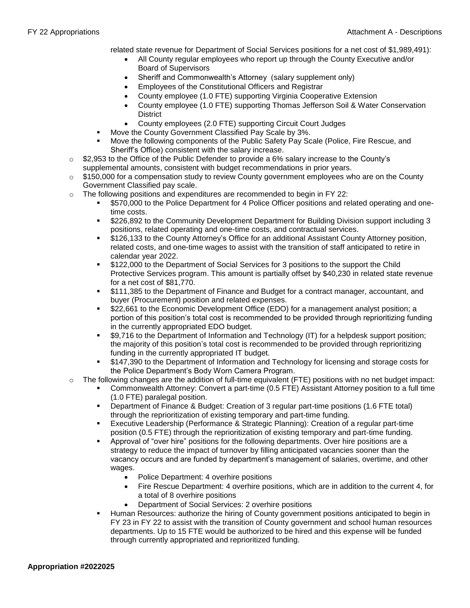related state revenue for Department of Social Services positions for a net cost of \$1,989,491):

- All County regular employees who report up through the County Executive and/or Board of Supervisors
- Sheriff and Commonwealth's Attorney (salary supplement only)
- Employees of the Constitutional Officers and Registrar
- County employee (1.0 FTE) supporting Virginia Cooperative Extension
- County employee (1.0 FTE) supporting Thomas Jefferson Soil & Water Conservation **District**
- County employees (2.0 FTE) supporting Circuit Court Judges
- Move the County Government Classified Pay Scale by 3%.
- Move the following components of the Public Safety Pay Scale (Police, Fire Rescue, and Sheriff's Office) consistent with the salary increase.
- $\circ$  \$2,953 to the Office of the Public Defender to provide a 6% salary increase to the County's supplemental amounts, consistent with budget recommendations in prior years.
- $\circ$  \$150,000 for a compensation study to review County government employees who are on the County Government Classified pay scale.
- $\circ$  The following positions and expenditures are recommended to begin in FY 22:
	- \$570,000 to the Police Department for 4 Police Officer positions and related operating and onetime costs.
	- \$226,892 to the Community Development Department for Building Division support including 3 positions, related operating and one-time costs, and contractual services.
	- \$126,133 to the County Attorney's Office for an additional Assistant County Attorney position, related costs, and one-time wages to assist with the transition of staff anticipated to retire in calendar year 2022.
	- \$122,000 to the Department of Social Services for 3 positions to the support the Child Protective Services program. This amount is partially offset by \$40,230 in related state revenue for a net cost of \$81,770.
	- \$111,385 to the Department of Finance and Budget for a contract manager, accountant, and buyer (Procurement) position and related expenses.
	- \$22,661 to the Economic Development Office (EDO) for a management analyst position; a portion of this position's total cost is recommended to be provided through reprioritizing funding in the currently appropriated EDO budget.
	- \$9,716 to the Department of Information and Technology (IT) for a helpdesk support position; the majority of this position's total cost is recommended to be provided through reprioritizing funding in the currently appropriated IT budget.
	- \$147,390 to the Department of Information and Technology for licensing and storage costs for the Police Department's Body Worn Camera Program.
- o The following changes are the addition of full-time equivalent (FTE) positions with no net budget impact:
	- Commonwealth Attorney: Convert a part-time (0.5 FTE) Assistant Attorney position to a full time (1.0 FTE) paralegal position.
		- Department of Finance & Budget: Creation of 3 regular part-time positions (1.6 FTE total) through the reprioritization of existing temporary and part-time funding.
		- Executive Leadership (Performance & Strategic Planning): Creation of a regular part-time position (0.5 FTE) through the reprioritization of existing temporary and part-time funding.
		- Approval of "over hire" positions for the following departments. Over hire positions are a strategy to reduce the impact of turnover by filling anticipated vacancies sooner than the vacancy occurs and are funded by department's management of salaries, overtime, and other wages.
			- Police Department: 4 overhire positions
			- Fire Rescue Department: 4 overhire positions, which are in addition to the current 4, for a total of 8 overhire positions
			- Department of Social Services: 2 overhire positions
		- Human Resources: authorize the hiring of County government positions anticipated to begin in FY 23 in FY 22 to assist with the transition of County government and school human resources departments. Up to 15 FTE would be authorized to be hired and this expense will be funded through currently appropriated and reprioritized funding.